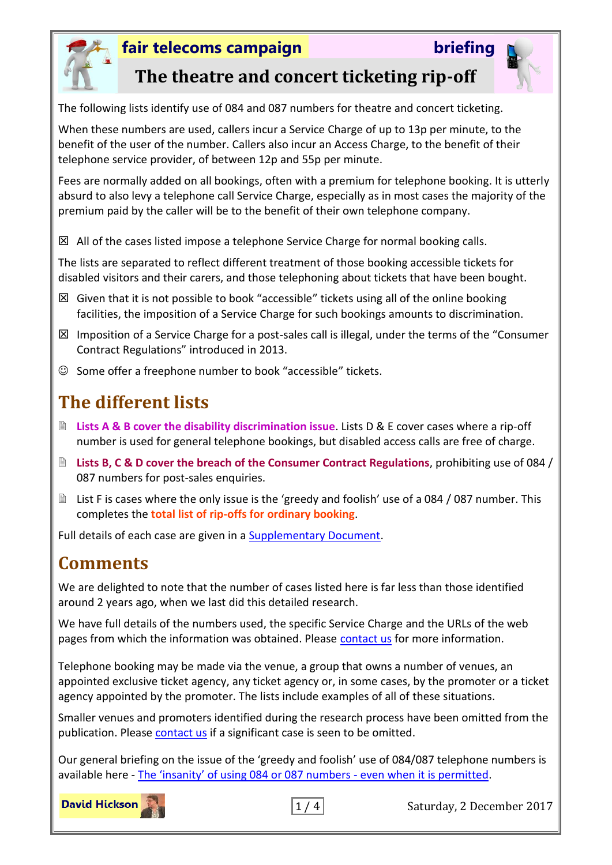



### **The theatre and concert ticketing rip-off**

The following lists identify use of 084 and 087 numbers for theatre and concert ticketing.

When these numbers are used, callers incur a Service Charge of up to 13p per minute, to the benefit of the user of the number. Callers also incur an Access Charge, to the benefit of their telephone service provider, of between 12p and 55p per minute.

Fees are normally added on all bookings, often with a premium for telephone booking. It is utterly absurd to also levy a telephone call Service Charge, especially as in most cases the majority of the premium paid by the caller will be to the benefit of their own telephone company.

 $\boxtimes$  All of the cases listed impose a telephone Service Charge for normal booking calls.

The lists are separated to reflect different treatment of those booking accessible tickets for disabled visitors and their carers, and those telephoning about tickets that have been bought.

- $\boxtimes$  Given that it is not possible to book "accessible" tickets using all of the online booking facilities, the imposition of a Service Charge for such bookings amounts to discrimination.
- $\boxtimes$  Imposition of a Service Charge for a post-sales call is illegal, under the terms of the "Consumer Contract Regulations" introduced in 2013.
- $\odot$  Some offer a freephone number to book "accessible" tickets.

# **The different lists**

- **Lists A & B cover the disability discrimination issue**. Lists D & E cover cases where a rip-off number is used for general telephone bookings, but disabled access calls are free of charge.
- **E** Lists B, C & D cover the breach of the Consumer Contract Regulations, prohibiting use of 084 / 087 numbers for post-sales enquiries.
- List F is cases where the only issue is the 'greedy and foolish' use of a 084 / 087 number. This completes the **total list of rip-offs for ordinary booking**.

Full details of each case are given in a [Supplementary Document.](http://www.fairtelecoms.org.uk/uploads/1/1/4/5/11456053/ticketing_ripoff_supplement.pdf)

### **Comments**

We are delighted to note that the number of cases listed here is far less than those identified around 2 years ago, when we last did this detailed research.

We have full details of the numbers used, the specific Service Charge and the URLs of the web pages from which the information was obtained. Please [contact us](mailto:media.enquiries@fairtelecoms.org.uk?subject=rip-off%20ticket%20lines) for more information.

Telephone booking may be made via the venue, a group that owns a number of venues, an appointed exclusive ticket agency, any ticket agency or, in some cases, by the promoter or a ticket agency appointed by the promoter. The lists include examples of all of these situations.

Smaller venues and promoters identified during the research process have been omitted from the publication. Please [contact us](mailto:general.enquiries@fairtelecoms.org.uk?subject=rip-off%20ticket%20lines) if a significant case is seen to be omitted.

Our general briefing on the issue of the 'greedy and foolish' use of 084/087 telephone numbers is available here - [The 'insanity' of using 084 or 087 numbers](http://www.fairtelecoms.org.uk/docs.html?insanity) - even when it is permitted.



 $\boxed{1/4}$  Saturday, 2 December 2017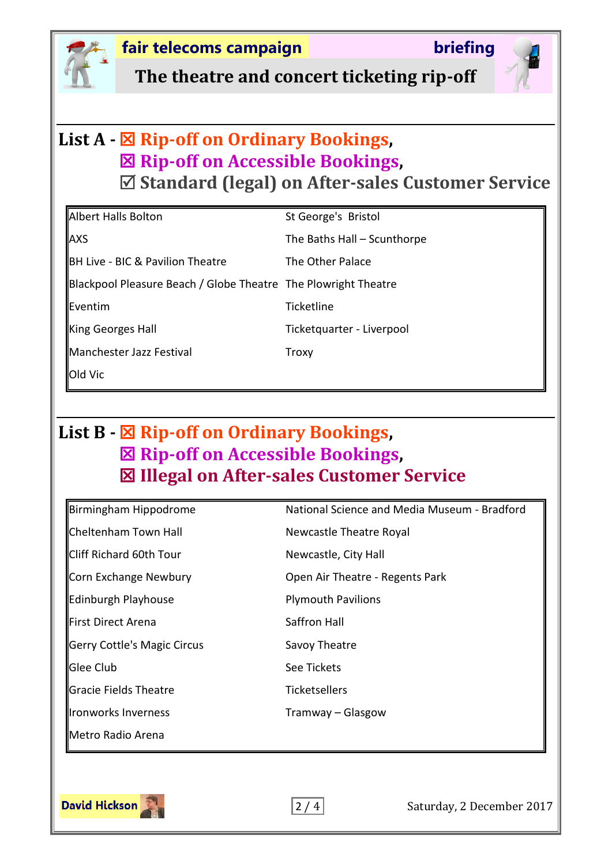

**The theatre and concert ticketing rip-off**

### **List A - Rip-off on Ordinary Bookings, Rip-off on Accessible Bookings, Standard (legal) on After-sales Customer Service**

| Albert Halls Bolton                                            | St George's Bristol         |
|----------------------------------------------------------------|-----------------------------|
| <b>AXS</b>                                                     | The Baths Hall - Scunthorpe |
| <b>BH Live - BIC &amp; Pavilion Theatre</b>                    | The Other Palace            |
| Blackpool Pleasure Beach / Globe Theatre The Plowright Theatre |                             |
| <b>I</b> Eventim                                               | <b>Ticketline</b>           |
| King Georges Hall                                              | Ticketquarter - Liverpool   |
| Manchester Jazz Festival                                       | Troxy                       |
| Old Vic                                                        |                             |

# **List B - Rip-off on Ordinary Bookings, Rip-off on Accessible Bookings, Illegal on After-sales Customer Service**

| Birmingham Hippodrome       | National Science and Media Museum - Bradford |
|-----------------------------|----------------------------------------------|
| Cheltenham Town Hall        | Newcastle Theatre Royal                      |
| Cliff Richard 60th Tour     | Newcastle, City Hall                         |
| Corn Exchange Newbury       | Open Air Theatre - Regents Park              |
| Edinburgh Playhouse         | <b>Plymouth Pavilions</b>                    |
| First Direct Arena          | Saffron Hall                                 |
| Gerry Cottle's Magic Circus | Savoy Theatre                                |
| Glee Club                   | See Tickets                                  |
| Gracie Fields Theatre       | <b>Ticketsellers</b>                         |
| Ironworks Inverness         | Tramway – Glasgow                            |
| Metro Radio Arena           |                                              |
|                             |                                              |

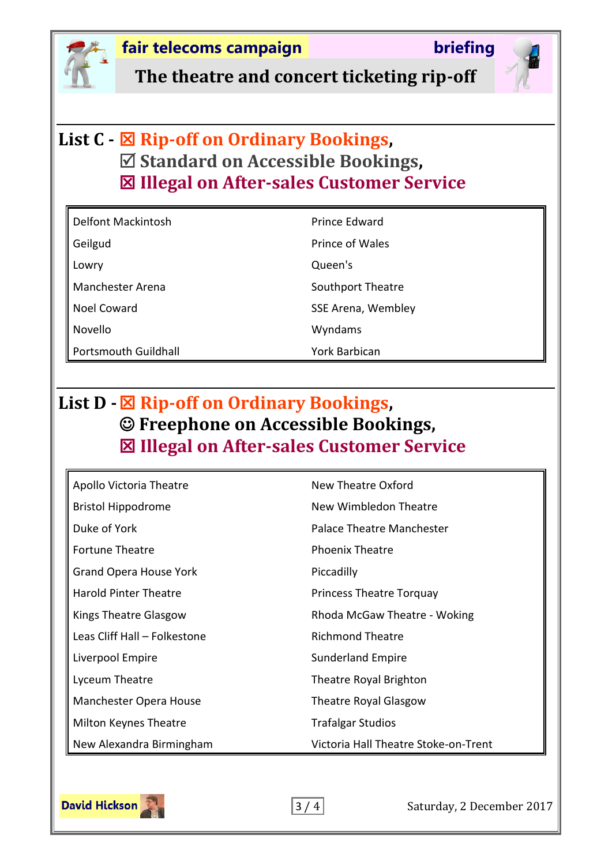

**The theatre and concert ticketing rip-off**

# **List C - Rip-off on Ordinary Bookings, Standard on Accessible Bookings, Illegal on After-sales Customer Service**

| Delfont Mackintosh   | Prince Edward        |
|----------------------|----------------------|
| Geilgud              | Prince of Wales      |
| Lowry                | Queen's              |
| Manchester Arena     | Southport Theatre    |
| Noel Coward          | SSE Arena, Wembley   |
| Novello              | Wyndams              |
| Portsmouth Guildhall | <b>York Barbican</b> |

# **List D - Rip-off on Ordinary Bookings, Freephone on Accessible Bookings, Illegal on After-sales Customer Service**

| Apollo Victoria Theatre       | New Theatre Oxford                   |
|-------------------------------|--------------------------------------|
| <b>Bristol Hippodrome</b>     | New Wimbledon Theatre                |
| Duke of York                  | Palace Theatre Manchester            |
| <b>Fortune Theatre</b>        | <b>Phoenix Theatre</b>               |
| <b>Grand Opera House York</b> | Piccadilly                           |
| <b>Harold Pinter Theatre</b>  | <b>Princess Theatre Torquay</b>      |
| Kings Theatre Glasgow         | Rhoda McGaw Theatre - Woking         |
| Leas Cliff Hall - Folkestone  | <b>Richmond Theatre</b>              |
| Liverpool Empire              | <b>Sunderland Empire</b>             |
| Lyceum Theatre                | Theatre Royal Brighton               |
| Manchester Opera House        | Theatre Royal Glasgow                |
| Milton Keynes Theatre         | <b>Trafalgar Studios</b>             |
| New Alexandra Birmingham      | Victoria Hall Theatre Stoke-on-Trent |